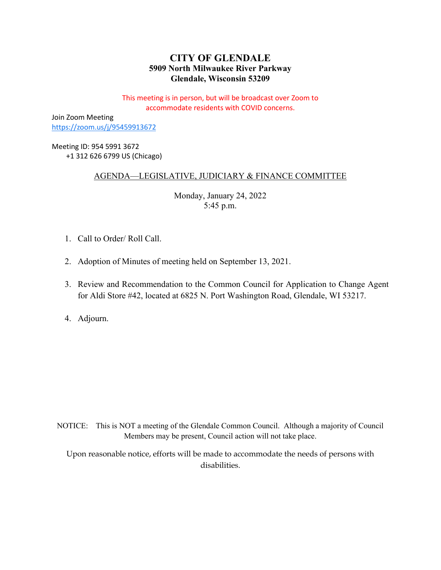# **CITY OF GLENDALE 5909 North Milwaukee River Parkway Glendale, Wisconsin 53209**

This meeting is in person, but will be broadcast over Zoom to accommodate residents with COVID concerns.

Join Zoom Meeting <https://zoom.us/j/95459913672>

Meeting ID: 954 5991 3672 +1 312 626 6799 US (Chicago)

## AGENDA—LEGISLATIVE, JUDICIARY & FINANCE COMMITTEE

Monday, January 24, 2022 5:45 p.m.

- 1. Call to Order/ Roll Call.
- 2. Adoption of Minutes of meeting held on September 13, 2021.
- 3. Review and Recommendation to the Common Council for Application to Change Agent for Aldi Store #42, located at 6825 N. Port Washington Road, Glendale, WI 53217.
- 4. Adjourn.

NOTICE: This is NOT a meeting of the Glendale Common Council. Although a majority of Council Members may be present, Council action will not take place.

Upon reasonable notice, efforts will be made to accommodate the needs of persons with disabilities.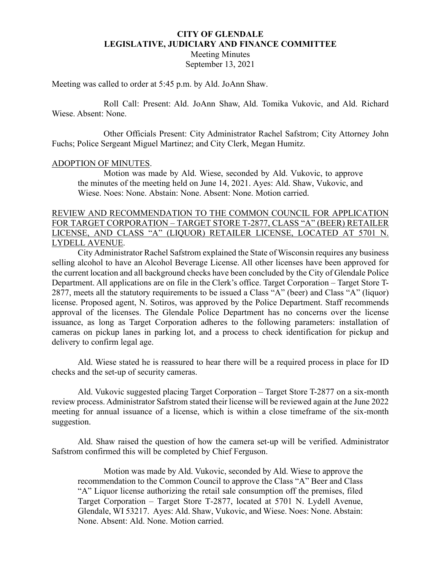## **CITY OF GLENDALE LEGISLATIVE, JUDICIARY AND FINANCE COMMITTEE**

Meeting Minutes September 13, 2021

Meeting was called to order at 5:45 p.m. by Ald. JoAnn Shaw.

Roll Call: Present: Ald. JoAnn Shaw, Ald. Tomika Vukovic, and Ald. Richard Wiese. Absent: None.

Other Officials Present: City Administrator Rachel Safstrom; City Attorney John Fuchs; Police Sergeant Miguel Martinez; and City Clerk, Megan Humitz.

#### ADOPTION OF MINUTES.

Motion was made by Ald. Wiese, seconded by Ald. Vukovic, to approve the minutes of the meeting held on June 14, 2021. Ayes: Ald. Shaw, Vukovic, and Wiese. Noes: None. Abstain: None. Absent: None. Motion carried.

## REVIEW AND RECOMMENDATION TO THE COMMON COUNCIL FOR APPLICATION FOR TARGET CORPORATION – TARGET STORE T-2877, CLASS "A" (BEER) RETAILER LICENSE, AND CLASS "A" (LIQUOR) RETAILER LICENSE, LOCATED AT 5701 N. LYDELL AVENUE.

City Administrator Rachel Safstrom explained the State of Wisconsin requires any business selling alcohol to have an Alcohol Beverage License. All other licenses have been approved for the current location and all background checks have been concluded by the City of Glendale Police Department. All applications are on file in the Clerk's office. Target Corporation – Target Store T-2877, meets all the statutory requirements to be issued a Class "A" (beer) and Class "A" (liquor) license. Proposed agent, N. Sotiros, was approved by the Police Department. Staff recommends approval of the licenses. The Glendale Police Department has no concerns over the license issuance, as long as Target Corporation adheres to the following parameters: installation of cameras on pickup lanes in parking lot, and a process to check identification for pickup and delivery to confirm legal age.

Ald. Wiese stated he is reassured to hear there will be a required process in place for ID checks and the set-up of security cameras.

Ald. Vukovic suggested placing Target Corporation – Target Store T-2877 on a six-month review process. Administrator Safstrom stated their license will be reviewed again at the June 2022 meeting for annual issuance of a license, which is within a close timeframe of the six-month suggestion.

Ald. Shaw raised the question of how the camera set-up will be verified. Administrator Safstrom confirmed this will be completed by Chief Ferguson.

Motion was made by Ald. Vukovic, seconded by Ald. Wiese to approve the recommendation to the Common Council to approve the Class "A" Beer and Class "A" Liquor license authorizing the retail sale consumption off the premises, filed Target Corporation – Target Store T-2877, located at 5701 N. Lydell Avenue, Glendale, WI 53217. Ayes: Ald. Shaw, Vukovic, and Wiese. Noes: None. Abstain: None. Absent: Ald. None. Motion carried.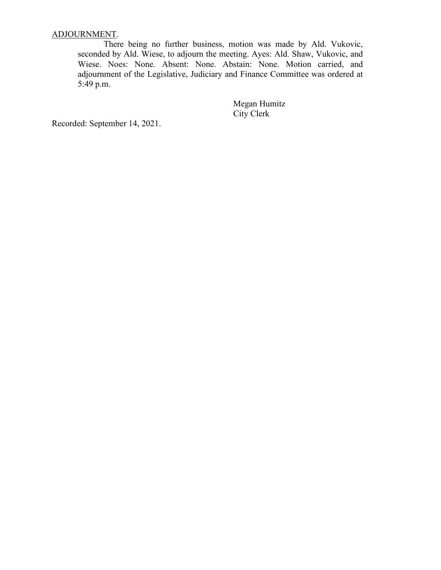# ADJOURNMENT.

There being no further business, motion was made by Ald. Vukovic, seconded by Ald. Wiese, to adjourn the meeting. Ayes: Ald. Shaw, Vukovic, and Wiese. Noes: None. Absent: None. Abstain: None. Motion carried, and adjournment of the Legislative, Judiciary and Finance Committee was ordered at 5:49 p.m.

> Megan Humitz City Clerk

Recorded: September 14, 2021.